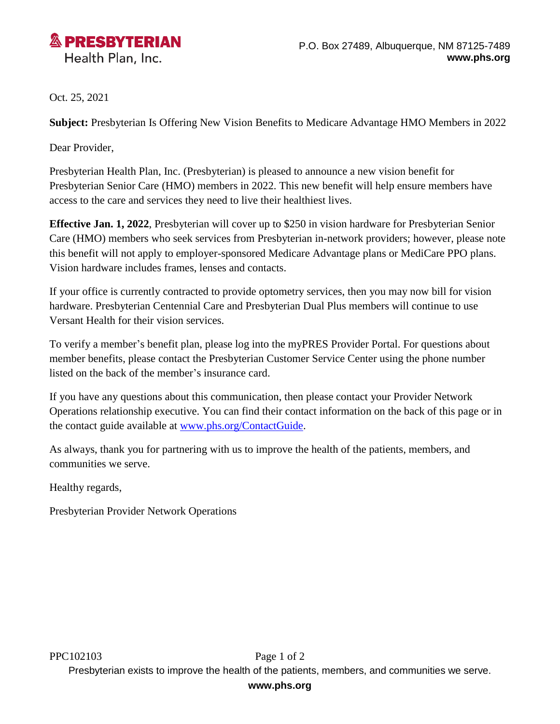

Oct. 25, 2021

**Subject:** Presbyterian Is Offering New Vision Benefits to Medicare Advantage HMO Members in 2022

Dear Provider,

Presbyterian Health Plan, Inc. (Presbyterian) is pleased to announce a new vision benefit for Presbyterian Senior Care (HMO) members in 2022. This new benefit will help ensure members have access to the care and services they need to live their healthiest lives.

**Effective Jan. 1, 2022**, Presbyterian will cover up to \$250 in vision hardware for Presbyterian Senior Care (HMO) members who seek services from Presbyterian in-network providers; however, please note this benefit will not apply to employer-sponsored Medicare Advantage plans or MediCare PPO plans. Vision hardware includes frames, lenses and contacts.

If your office is currently contracted to provide optometry services, then you may now bill for vision hardware. Presbyterian Centennial Care and Presbyterian Dual Plus members will continue to use Versant Health for their vision services.

To verify a member's benefit plan, please log into the myPRES Provider Portal. For questions about member benefits, please contact the Presbyterian Customer Service Center using the phone number listed on the back of the member's insurance card.

If you have any questions about this communication, then please contact your Provider Network Operations relationship executive. You can find their contact information on the back of this page or in the contact guide available at [www.phs.org/ContactGuide.](http://www.phs.org/ContactGuide)

As always, thank you for partnering with us to improve the health of the patients, members, and communities we serve.

Healthy regards,

Presbyterian Provider Network Operations